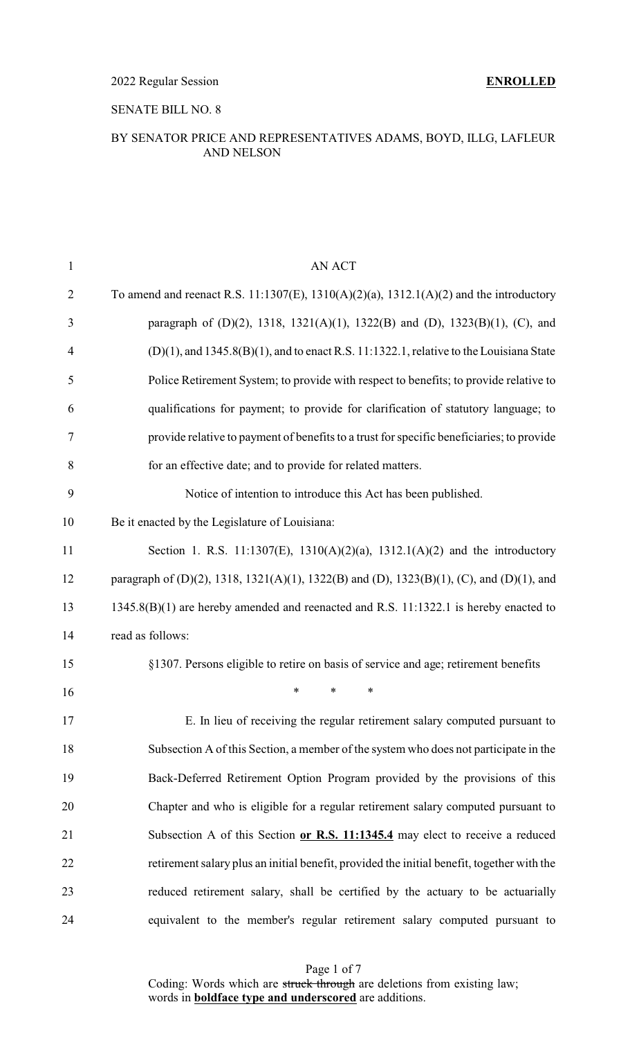### SENATE BILL NO. 8

### BY SENATOR PRICE AND REPRESENTATIVES ADAMS, BOYD, ILLG, LAFLEUR AND NELSON

| $\mathbf{1}$   | <b>AN ACT</b>                                                                                 |
|----------------|-----------------------------------------------------------------------------------------------|
| $\overline{2}$ | To amend and reenact R.S. 11:1307(E), 1310(A)(2)(a), 1312.1(A)(2) and the introductory        |
| 3              | paragraph of (D)(2), 1318, 1321(A)(1), 1322(B) and (D), 1323(B)(1), (C), and                  |
| $\overline{4}$ | $(D)(1)$ , and 1345.8 $(B)(1)$ , and to enact R.S. 11:1322.1, relative to the Louisiana State |
| 5              | Police Retirement System; to provide with respect to benefits; to provide relative to         |
| 6              | qualifications for payment; to provide for clarification of statutory language; to            |
| 7              | provide relative to payment of benefits to a trust for specific beneficiaries; to provide     |
| 8              | for an effective date; and to provide for related matters.                                    |
| 9              | Notice of intention to introduce this Act has been published.                                 |
| 10             | Be it enacted by the Legislature of Louisiana:                                                |
| 11             | Section 1. R.S. 11:1307(E), 1310(A)(2)(a), 1312.1(A)(2) and the introductory                  |
| 12             | paragraph of (D)(2), 1318, 1321(A)(1), 1322(B) and (D), 1323(B)(1), (C), and (D)(1), and      |
| 13             | 1345.8(B)(1) are hereby amended and reenacted and R.S. 11:1322.1 is hereby enacted to         |
| 14             | read as follows:                                                                              |
| 15             | §1307. Persons eligible to retire on basis of service and age; retirement benefits            |
| 16             | *<br>*<br>∗                                                                                   |
| 17             | E. In lieu of receiving the regular retirement salary computed pursuant to                    |
| 18             | Subsection A of this Section, a member of the system who does not participate in the          |
| 19             | Back-Deferred Retirement Option Program provided by the provisions of this                    |
| 20             | Chapter and who is eligible for a regular retirement salary computed pursuant to              |
| 21             | Subsection A of this Section or R.S. 11:1345.4 may elect to receive a reduced                 |
| 22             | retirement salary plus an initial benefit, provided the initial benefit, together with the    |
| 23             | reduced retirement salary, shall be certified by the actuary to be actuarially                |
| 24             | equivalent to the member's regular retirement salary computed pursuant to                     |

Page 1 of 7 Coding: Words which are struck through are deletions from existing law; words in **boldface type and underscored** are additions.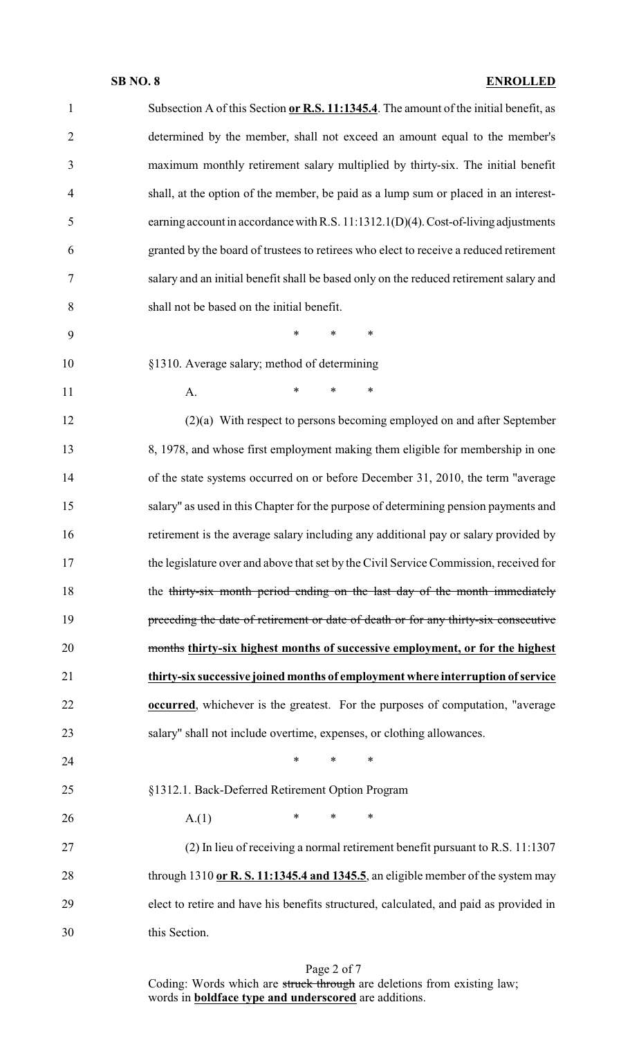| $\mathbf{1}$   | Subsection A of this Section or R.S. 11:1345.4. The amount of the initial benefit, as  |
|----------------|----------------------------------------------------------------------------------------|
| $\overline{2}$ | determined by the member, shall not exceed an amount equal to the member's             |
| 3              | maximum monthly retirement salary multiplied by thirty-six. The initial benefit        |
| $\overline{4}$ | shall, at the option of the member, be paid as a lump sum or placed in an interest-    |
| 5              | earning account in accordance with R.S. 11:1312.1(D)(4). Cost-of-living adjustments    |
| 6              | granted by the board of trustees to retirees who elect to receive a reduced retirement |
| 7              | salary and an initial benefit shall be based only on the reduced retirement salary and |
| 8              | shall not be based on the initial benefit.                                             |
| 9              | $\ast$<br>*<br>$\ast$                                                                  |
| 10             | §1310. Average salary; method of determining                                           |
| 11             | $\ast$<br>$\ast$<br>$\ast$<br>A.                                                       |
| 12             | (2)(a) With respect to persons becoming employed on and after September                |
| 13             | 8, 1978, and whose first employment making them eligible for membership in one         |
| 14             | of the state systems occurred on or before December 31, 2010, the term "average        |
| 15             | salary" as used in this Chapter for the purpose of determining pension payments and    |
| 16             | retirement is the average salary including any additional pay or salary provided by    |
| 17             | the legislature over and above that set by the Civil Service Commission, received for  |
| 18             | the thirty-six month period ending on the last day of the month immediately            |
| 19             | preceding the date of retirement or date of death or for any thirty-six consecutive    |
| 20             | months thirty-six highest months of successive employment, or for the highest          |
| 21             | thirty-six successive joined months of employment where interruption of service        |
| 22             | <b>occurred</b> , whichever is the greatest. For the purposes of computation, "average |
| 23             | salary" shall not include overtime, expenses, or clothing allowances.                  |
| 24             | $*$ and $*$<br>$*$ and $*$<br>$\ast$                                                   |
| 25             | §1312.1. Back-Deferred Retirement Option Program                                       |
| 26             | $*$ and $*$<br>$*$ $*$<br>$\ast$<br>A(1)                                               |
| 27             | (2) In lieu of receiving a normal retirement benefit pursuant to R.S. 11:1307          |
| 28             | through 1310 or R. S. 11:1345.4 and 1345.5, an eligible member of the system may       |
| 29             | elect to retire and have his benefits structured, calculated, and paid as provided in  |
| 30             | this Section.                                                                          |

Coding: Words which are struck through are deletions from existing law; words in **boldface type and underscored** are additions.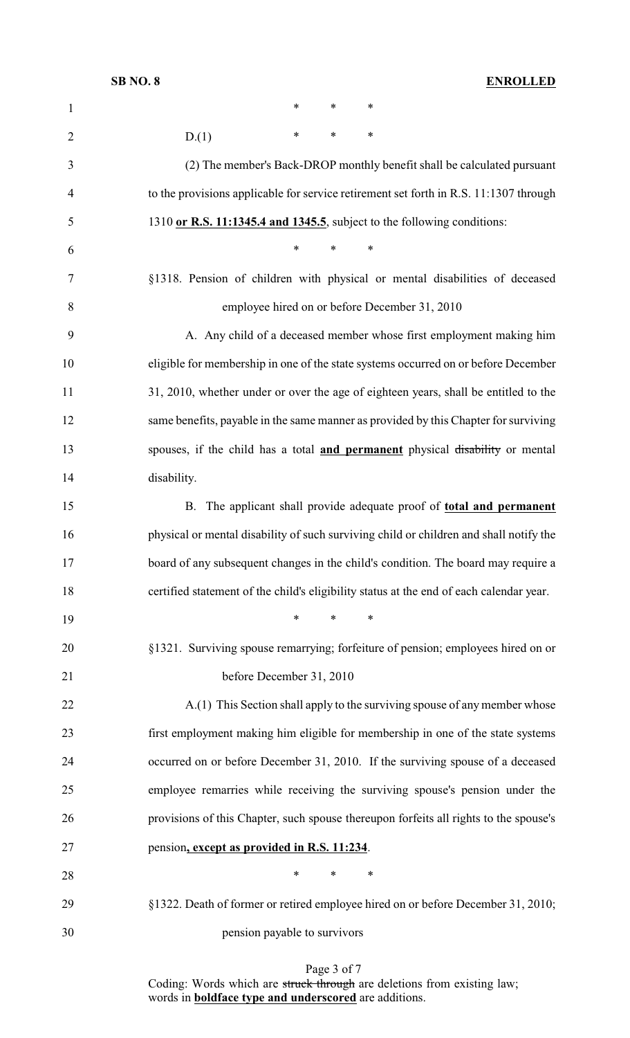| $\mathbf{1}$   | $\ast$<br>$\ast$<br>*                                                                   |
|----------------|-----------------------------------------------------------------------------------------|
| $\overline{2}$ | $\ast$<br>$\ast$<br>$\ast$<br>D(1)                                                      |
| 3              | (2) The member's Back-DROP monthly benefit shall be calculated pursuant                 |
| 4              | to the provisions applicable for service retirement set forth in R.S. 11:1307 through   |
| 5              | 1310 or R.S. 11:1345.4 and 1345.5, subject to the following conditions:                 |
| 6              | $\ast$<br>*<br>∗                                                                        |
| 7              | §1318. Pension of children with physical or mental disabilities of deceased             |
| 8              | employee hired on or before December 31, 2010                                           |
| 9              | A. Any child of a deceased member whose first employment making him                     |
| 10             | eligible for membership in one of the state systems occurred on or before December      |
| 11             | 31, 2010, whether under or over the age of eighteen years, shall be entitled to the     |
| 12             | same benefits, payable in the same manner as provided by this Chapter for surviving     |
| 13             | spouses, if the child has a total and permanent physical disability or mental           |
| 14             | disability.                                                                             |
| 15             | B. The applicant shall provide adequate proof of total and permanent                    |
| 16             | physical or mental disability of such surviving child or children and shall notify the  |
| 17             | board of any subsequent changes in the child's condition. The board may require a       |
| 18             | certified statement of the child's eligibility status at the end of each calendar year. |
| 19             | $\ast$<br>∗                                                                             |
| 20             | §1321. Surviving spouse remarrying; forfeiture of pension; employees hired on or        |
| 21             | before December 31, 2010                                                                |
| 22             | A.(1) This Section shall apply to the surviving spouse of any member whose              |
| 23             | first employment making him eligible for membership in one of the state systems         |
| 24             | occurred on or before December 31, 2010. If the surviving spouse of a deceased          |
| 25             | employee remarries while receiving the surviving spouse's pension under the             |
| 26             | provisions of this Chapter, such spouse thereupon forfeits all rights to the spouse's   |
| 27             | pension, except as provided in R.S. 11:234.                                             |
| 28             | $\ast$<br>$\ast$<br>∗                                                                   |
| 29             | §1322. Death of former or retired employee hired on or before December 31, 2010;        |
| 30             | pension payable to survivors                                                            |

Page 3 of 7 Coding: Words which are struck through are deletions from existing law; words in **boldface type and underscored** are additions.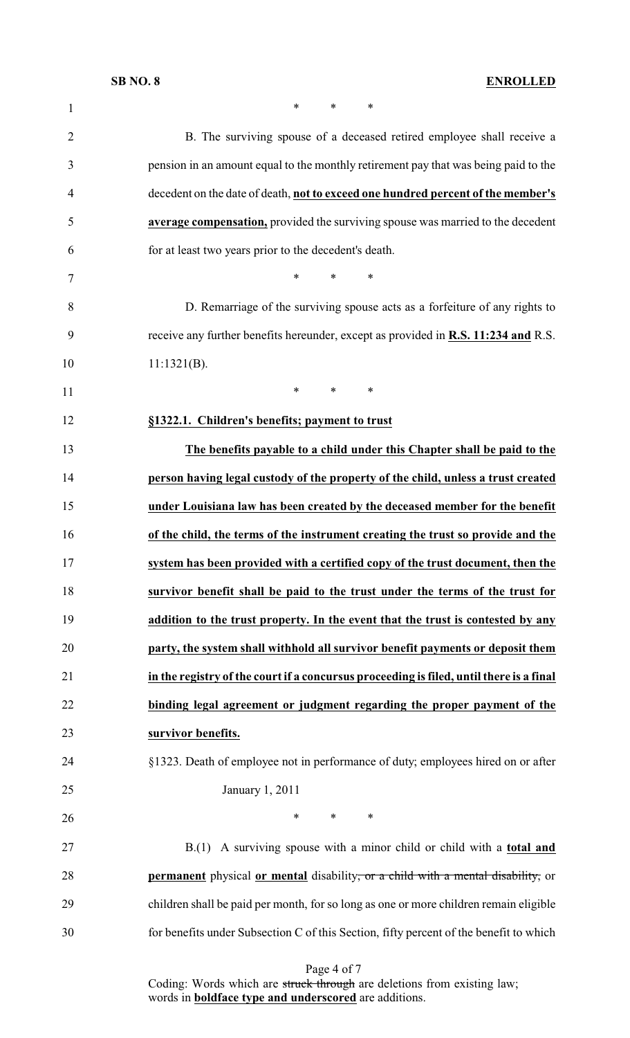| $\mathbf{1}$   | $\ast$<br>*<br>$\ast$                                                                     |
|----------------|-------------------------------------------------------------------------------------------|
| $\overline{2}$ | B. The surviving spouse of a deceased retired employee shall receive a                    |
| 3              | pension in an amount equal to the monthly retirement pay that was being paid to the       |
| 4              | decedent on the date of death, not to exceed one hundred percent of the member's          |
| 5              | average compensation, provided the surviving spouse was married to the decedent           |
| 6              | for at least two years prior to the decedent's death.                                     |
| 7              | $\ast$<br>$\ast$<br>$\ast$                                                                |
| 8              | D. Remarriage of the surviving spouse acts as a forfeiture of any rights to               |
| 9              | receive any further benefits hereunder, except as provided in <b>R.S. 11:234 and R.S.</b> |
| 10             | $11:1321(B)$ .                                                                            |
| 11             | $\ast$<br>$\ast$<br>$\ast$                                                                |
| 12             | §1322.1. Children's benefits; payment to trust                                            |
| 13             | The benefits payable to a child under this Chapter shall be paid to the                   |
| 14             | person having legal custody of the property of the child, unless a trust created          |
| 15             | under Louisiana law has been created by the deceased member for the benefit               |
| 16             | of the child, the terms of the instrument creating the trust so provide and the           |
| 17             | system has been provided with a certified copy of the trust document, then the            |
| 18             | survivor benefit shall be paid to the trust under the terms of the trust for              |
|                | addition to the trust property. In the event that the trust is contested by any           |
| 19             |                                                                                           |
| 20             | party, the system shall withhold all survivor benefit payments or deposit them            |
| 21             | in the registry of the court if a concursus proceeding is filed, until there is a final   |
| 22             | binding legal agreement or judgment regarding the proper payment of the                   |
| 23             | survivor benefits.                                                                        |
| 24             | §1323. Death of employee not in performance of duty; employees hired on or after          |
| 25             | January 1, 2011                                                                           |
| 26             | $\ast$<br>$\ast$<br>$\ast$                                                                |
| 27             | B.(1) A surviving spouse with a minor child or child with a <b>total and</b>              |
| 28             | permanent physical or mental disability, or a child with a mental disability, or          |
| 29             | children shall be paid per month, for so long as one or more children remain eligible     |

Page 4 of 7

Coding: Words which are struck through are deletions from existing law; words in **boldface type and underscored** are additions.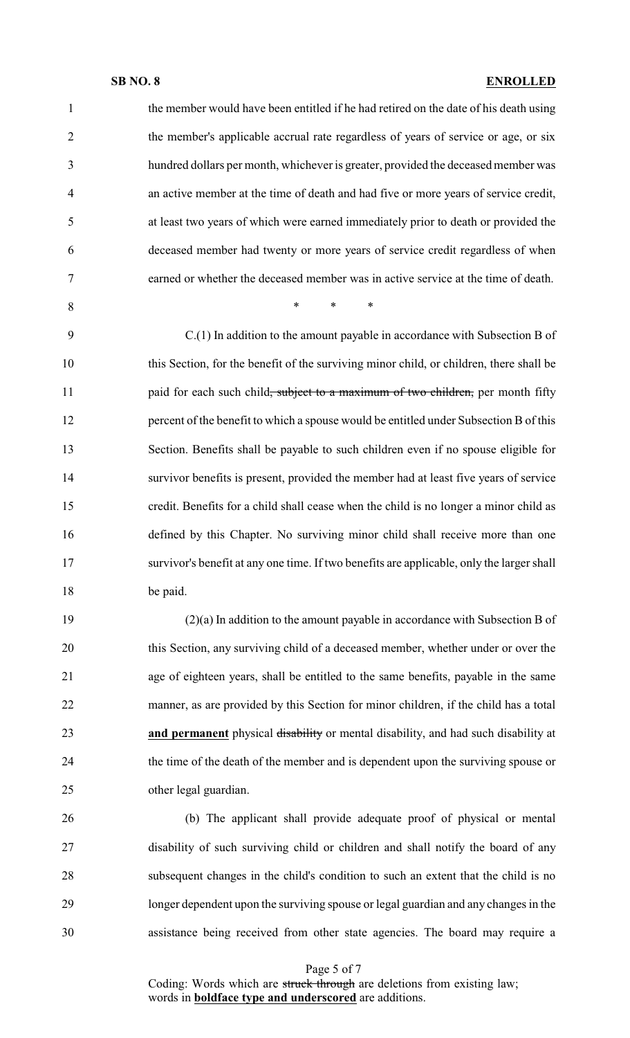| 1              | the member would have been entitled if he had retired on the date of his death using        |
|----------------|---------------------------------------------------------------------------------------------|
| $\overline{2}$ | the member's applicable accrual rate regardless of years of service or age, or six          |
| 3              | hundred dollars per month, whichever is greater, provided the deceased member was           |
| $\overline{4}$ | an active member at the time of death and had five or more years of service credit,         |
| 5              | at least two years of which were earned immediately prior to death or provided the          |
| 6              | deceased member had twenty or more years of service credit regardless of when               |
| $\overline{7}$ | earned or whether the deceased member was in active service at the time of death.           |
| 8              | $\ast$<br>$\ast$<br>∗                                                                       |
| 9              | $C(1)$ In addition to the amount payable in accordance with Subsection B of                 |
| 10             | this Section, for the benefit of the surviving minor child, or children, there shall be     |
| 11             | paid for each such child <del>, subject to a maximum of two children,</del> per month fifty |
| 12             | percent of the benefit to which a spouse would be entitled under Subsection B of this       |
| 13             | Section. Benefits shall be payable to such children even if no spouse eligible for          |
| 14             | survivor benefits is present, provided the member had at least five years of service        |
| 15             | credit. Benefits for a child shall cease when the child is no longer a minor child as       |
| 16             | defined by this Chapter. No surviving minor child shall receive more than one               |
| 17             | survivor's benefit at any one time. If two benefits are applicable, only the larger shall   |
| 18             | be paid.                                                                                    |
| 19             | $(2)(a)$ In addition to the amount payable in accordance with Subsection B of               |
| 20             | this Section, any surviving child of a deceased member, whether under or over the           |
| 21             | age of eighteen years, shall be entitled to the same benefits, payable in the same          |
| 22             | manner, as are provided by this Section for minor children, if the child has a total        |
| 23             | and permanent physical disability or mental disability, and had such disability at          |
| 24             | the time of the death of the member and is dependent upon the surviving spouse or           |
| 25             | other legal guardian.                                                                       |
| 26             | (b) The applicant shall provide adequate proof of physical or mental                        |

 disability of such surviving child or children and shall notify the board of any subsequent changes in the child's condition to such an extent that the child is no longer dependent upon the surviving spouse or legal guardian and any changes in the assistance being received from other state agencies. The board may require a

Page 5 of 7

Coding: Words which are struck through are deletions from existing law; words in **boldface type and underscored** are additions.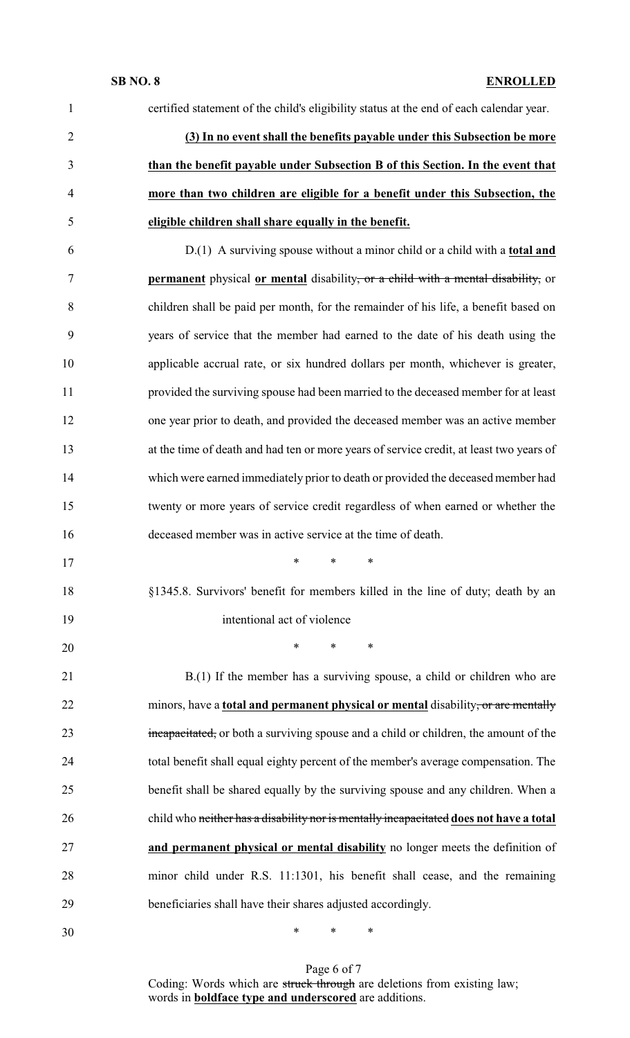| $\mathbf{1}$   | certified statement of the child's eligibility status at the end of each calendar year.  |
|----------------|------------------------------------------------------------------------------------------|
| $\overline{2}$ | (3) In no event shall the benefits payable under this Subsection be more                 |
| 3              | than the benefit payable under Subsection B of this Section. In the event that           |
| $\overline{4}$ | more than two children are eligible for a benefit under this Subsection, the             |
| 5              | eligible children shall share equally in the benefit.                                    |
| 6              | D.(1) A surviving spouse without a minor child or a child with a <b>total and</b>        |
| $\tau$         | <b>permanent</b> physical or mental disability, or a child with a mental disability, or  |
| 8              | children shall be paid per month, for the remainder of his life, a benefit based on      |
| 9              | years of service that the member had earned to the date of his death using the           |
| 10             | applicable accrual rate, or six hundred dollars per month, whichever is greater,         |
| 11             | provided the surviving spouse had been married to the deceased member for at least       |
| 12             | one year prior to death, and provided the deceased member was an active member           |
| 13             | at the time of death and had ten or more years of service credit, at least two years of  |
| 14             | which were earned immediately prior to death or provided the deceased member had         |
| 15             | twenty or more years of service credit regardless of when earned or whether the          |
| 16             | deceased member was in active service at the time of death.                              |
| 17             | * * *                                                                                    |
| 18             | §1345.8. Survivors' benefit for members killed in the line of duty; death by an          |
| 19             | intentional act of violence                                                              |
| 20             | $\ast$<br>$\ast$<br>$\ast$                                                               |
| 21             | $B(1)$ If the member has a surviving spouse, a child or children who are                 |
| 22             | minors, have a <b>total and permanent physical or mental</b> disability, or are mentally |
| 23             | incapacitated, or both a surviving spouse and a child or children, the amount of the     |
| 24             | total benefit shall equal eighty percent of the member's average compensation. The       |
| 25             | benefit shall be shared equally by the surviving spouse and any children. When a         |
| 26             | child who neither has a disability nor is mentally incapacitated does not have a total   |
| 27             | and permanent physical or mental disability no longer meets the definition of            |
| 28             | minor child under R.S. 11:1301, his benefit shall cease, and the remaining               |
| 29             | beneficiaries shall have their shares adjusted accordingly.                              |
| 30             | $\ast$<br>$\ast$<br>∗                                                                    |

Page 6 of 7 Coding: Words which are struck through are deletions from existing law; words in **boldface type and underscored** are additions.